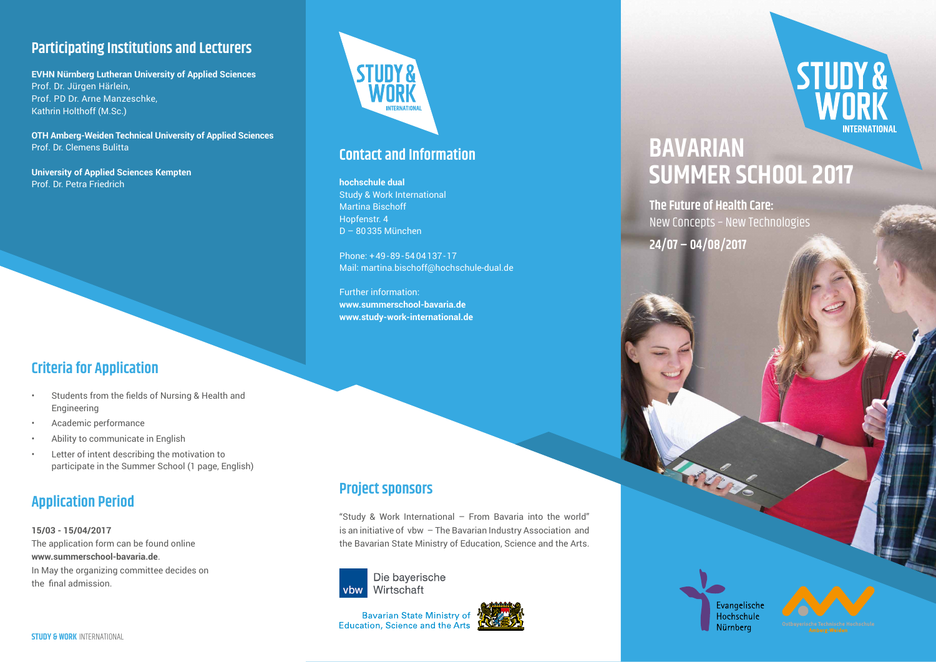## **Participating Institutions and Lecturers**

**EVHN Nürnberg Lutheran University of Applied Sciences** Prof. Dr. Jürgen Härlein, Prof. PD Dr. Arne Manzeschke, Kathrin Holthoff (M.Sc.)

**OTH Amberg-Weiden Technical University of Applied Sciences** Prof. Dr. Clemens Bulitta

**University of Applied Sciences Kempten** Prof. Dr. Petra Friedrich

# **Criteria for Application**

- Students from the fields of Nursing & Health and Engineering
- Academic performance
- Ability to communicate in English
- Letter of intent describing the motivation to participate in the Summer School (1 page, English)

# **Application Period**

**15/03 - 15/04/2017** The application form can be found online **www.summerschool-bavaria.de**. In May the organizing committee decides on the final admission.



### **Contact and Information**

**hochschule dual** Study & Work International Martina Bischoff Hopfenstr. 4 D – 80335 München

Phone: +49-89-5404137-17 Mail: martina.bischoff@hochschule-dual.de

Further information: **www.summerschool-bavaria.de www.study-work-international.de**

# **Project sponsors**

"Study & Work International – From Bavaria into the world" is an initiative of vbw – The Bavarian Industry Association and the Bavarian State Ministry of Education, Science and the Arts.



Bavarian State Ministry of<br>Education, Science and the Arts



# **BAVARIAN SUMMER SCHOOL 2017**

**ITERNATIONAL** 

**The Future of Health Care:**  New Concepts – New Technologies **24/07 – 04/08/2017**





**STUDY & WORK** INTERNATIONAL